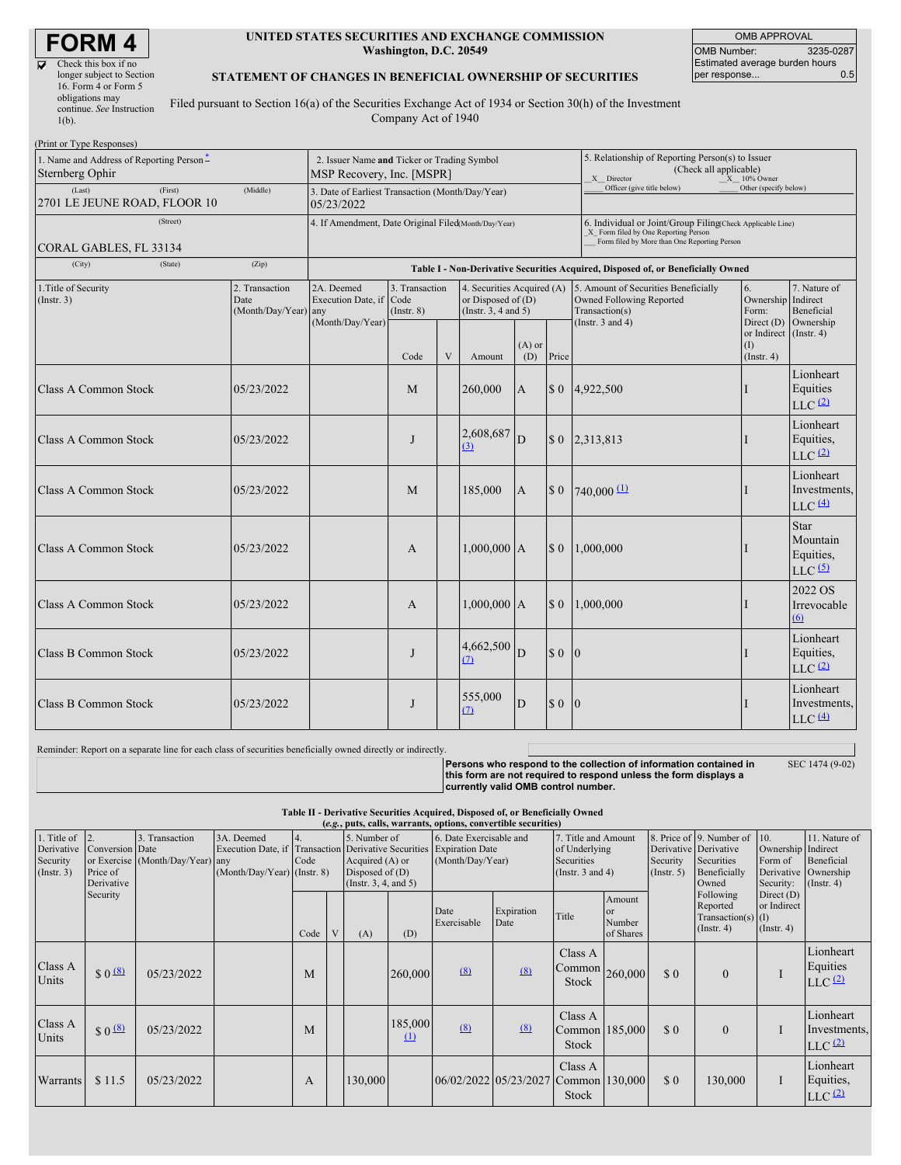# **FORM 4**

| longer subject to Section |
|---------------------------|
|                           |
|                           |
| continue. See Instruction |
|                           |
|                           |

#### **UNITED STATES SECURITIES AND EXCHANGE COMMISSION Washington, D.C. 20549**

OMB APPROVAL OMB Number: 3235-0287 Estimated average burden hours<br>per response... 0.5 per response...

#### **STATEMENT OF CHANGES IN BENEFICIAL OWNERSHIP OF SECURITIES**

Filed pursuant to Section 16(a) of the Securities Exchange Act of 1934 or Section 30(h) of the Investment Company Act of 1940

| (Print or Type Responses)                                               |                                                                          |                                                                                  |                                   |   |                                                                                |                                                                                                                                                    |                       |                                                                                                             |                                        |                                                                |  |
|-------------------------------------------------------------------------|--------------------------------------------------------------------------|----------------------------------------------------------------------------------|-----------------------------------|---|--------------------------------------------------------------------------------|----------------------------------------------------------------------------------------------------------------------------------------------------|-----------------------|-------------------------------------------------------------------------------------------------------------|----------------------------------------|----------------------------------------------------------------|--|
| 1. Name and Address of Reporting Person <sup>*</sup><br>Sternberg Ophir | 2. Issuer Name and Ticker or Trading Symbol<br>MSP Recovery, Inc. [MSPR] |                                                                                  |                                   |   |                                                                                | 5. Relationship of Reporting Person(s) to Issuer<br>(Check all applicable)<br>$X = 10\%$ Owner<br>X Director                                       |                       |                                                                                                             |                                        |                                                                |  |
| (Last)<br>(First)<br>2701 LE JEUNE ROAD, FLOOR 10                       | 3. Date of Earliest Transaction (Month/Day/Year)<br>05/23/2022           |                                                                                  |                                   |   |                                                                                | Officer (give title below)                                                                                                                         | Other (specify below) |                                                                                                             |                                        |                                                                |  |
| (Street)<br>CORAL GABLES, FL 33134                                      | 4. If Amendment, Date Original Filed(Month/Day/Year)                     |                                                                                  |                                   |   |                                                                                | 6. Individual or Joint/Group Filing(Check Applicable Line)<br>X Form filed by One Reporting Person<br>Form filed by More than One Reporting Person |                       |                                                                                                             |                                        |                                                                |  |
| (City)<br>(State)                                                       | (Zip)                                                                    | Table I - Non-Derivative Securities Acquired, Disposed of, or Beneficially Owned |                                   |   |                                                                                |                                                                                                                                                    |                       |                                                                                                             |                                        |                                                                |  |
| 1. Title of Security<br>(Instr. 3)                                      | 2. Transaction<br>Date<br>(Month/Day/Year) any                           | 2A. Deemed<br>Execution Date, if Code<br>(Month/Day/Year)                        | 3. Transaction<br>$($ Instr. $8)$ |   | 4. Securities Acquired (A)<br>or Disposed of $(D)$<br>(Instr. $3, 4$ and $5$ ) |                                                                                                                                                    |                       | 5. Amount of Securities Beneficially<br>Owned Following Reported<br>Transaction(s)<br>(Instr. $3$ and $4$ ) | 6.<br>Ownership<br>Form:<br>Direct (D) | 7. Nature of<br>Indirect<br>Beneficial<br>Ownership            |  |
|                                                                         |                                                                          |                                                                                  | Code                              | V | Amount                                                                         | $(A)$ or<br>(D)                                                                                                                                    | Price                 |                                                                                                             | or Indirect<br>(1)<br>$($ Instr. 4 $)$ | $($ Instr. 4 $)$                                               |  |
| Class A Common Stock                                                    | 05/23/2022                                                               |                                                                                  | M                                 |   | 260,000                                                                        | A                                                                                                                                                  |                       | $$0$ 4,922,500                                                                                              |                                        | Lionheart<br>Equities<br>$LLC$ <sup>(2)</sup>                  |  |
| Class A Common Stock                                                    | 05/23/2022                                                               |                                                                                  | $\mathbf{I}$                      |   | 2,608,687<br>(3)                                                               | D                                                                                                                                                  |                       | \$ 0 2,313,813                                                                                              |                                        | Lionheart<br>Equities,<br>LLC <sup>(2)</sup>                   |  |
| Class A Common Stock                                                    | 05/23/2022                                                               |                                                                                  | M                                 |   | 185,000                                                                        | A                                                                                                                                                  | \$0                   | $740,000 \frac{11}{2}$                                                                                      |                                        | Lionheart<br>Investments,<br>$LLC$ $(4)$                       |  |
| Class A Common Stock                                                    | 05/23/2022                                                               |                                                                                  | A                                 |   | $1,000,000$ A                                                                  |                                                                                                                                                    | \$0                   | 1.000,000                                                                                                   |                                        | Star<br>Mountain<br>Equities,<br>$LLC$ <sup>(5)</sup>          |  |
| Class A Common Stock                                                    | 05/23/2022                                                               |                                                                                  | A                                 |   | $1,000,000$ A                                                                  |                                                                                                                                                    | $\Omega$              | 1,000,000                                                                                                   |                                        | 2022 OS<br>Irrevocable<br>(6)                                  |  |
| Class B Common Stock                                                    | 05/23/2022                                                               |                                                                                  | $\mathbf{J}$                      |   | 4,662,500<br>(7)                                                               | D                                                                                                                                                  | $\Omega$              | 10                                                                                                          |                                        | Lionheart<br>Equities,<br>$LLC$ $(2)$                          |  |
| Class B Common Stock                                                    | 05/23/2022                                                               |                                                                                  | J                                 |   | 555,000<br>$\Omega$                                                            | D                                                                                                                                                  | \$0                   | $\overline{0}$                                                                                              |                                        | Lionheart<br>Investments,<br>$LLC$ <sup><math>(4)</math></sup> |  |

Reminder: Report on a separate line for each class of securities beneficially owned directly or indirectly. Persons who respond to the collection of information contained in<br>this form are not required to respond unless the form displays a<br>currently valid OMB control number. SEC 1474 (9-02)

> **Table II - Derivative Securities Acquired, Disposed of, or Beneficially Owned (***e.g.***, puts, calls, warrants, options, convertible securities)**

| 1. Title of $\vert$ 2.<br>Derivative<br>Security<br>$($ Instr. 3 $)$ | Conversion Date<br>Price of<br>Derivative | 3. Transaction<br>or Exercise (Month/Day/Year) any | 3A. Deemed<br>Execution Date, if Transaction Derivative Securities Expiration Date<br>(Month/Day/Year) (Instr. 8) | Code | 5. Number of<br>Acquired (A) or<br>Disposed of $(D)$<br>(Insert. 3, 4, and 5) |                     |                     | 6. Date Exercisable and              |                                                        | of Underlying<br>Securities<br>(Instr. $3$ and $4$ ) |          |                                                                   |                                                 | (Month/Day/Year)                                |  |  |  |  |  |  |  |  |  |  |  | 7. Title and Amount |  | Security<br>$($ Instr. 5 $)$ | 8. Price of 9. Number of<br>Derivative Derivative<br>Securities<br>Beneficially<br>Owned | 10.<br>Ownership Indirect<br>Form of<br>Security: | 11. Nature of<br>Beneficial<br>Derivative Ownership<br>$($ Instr. 4 $)$ |
|----------------------------------------------------------------------|-------------------------------------------|----------------------------------------------------|-------------------------------------------------------------------------------------------------------------------|------|-------------------------------------------------------------------------------|---------------------|---------------------|--------------------------------------|--------------------------------------------------------|------------------------------------------------------|----------|-------------------------------------------------------------------|-------------------------------------------------|-------------------------------------------------|--|--|--|--|--|--|--|--|--|--|--|---------------------|--|------------------------------|------------------------------------------------------------------------------------------|---------------------------------------------------|-------------------------------------------------------------------------|
|                                                                      | Security                                  |                                                    |                                                                                                                   | Code | (A)                                                                           | (D)                 | Date<br>Exercisable | Expiration<br>Date                   | Title                                                  | Amount<br>or<br>Number<br>of Shares                  |          | Following<br>Reported<br>$Transaction(s)$ (I)<br>$($ Instr. 4 $)$ | Direct $(D)$<br>or Indirect<br>$($ Instr. 4 $)$ |                                                 |  |  |  |  |  |  |  |  |  |  |  |                     |  |                              |                                                                                          |                                                   |                                                                         |
| Class A<br>Units                                                     | \$0 <sup>(8)</sup>                        | 05/23/2022                                         |                                                                                                                   | M    |                                                                               | 260,000             | (8)                 | (8)                                  | Class A<br>$\lfloor$ Common $\rfloor$ 260,000<br>Stock |                                                      | \$0      | $\Omega$                                                          |                                                 | Lionheart<br>Equities<br>LLC <sup>(2)</sup>     |  |  |  |  |  |  |  |  |  |  |  |                     |  |                              |                                                                                          |                                                   |                                                                         |
| Class A<br>Units                                                     | \$0 <sup>(8)</sup>                        | 05/23/2022                                         |                                                                                                                   | M    |                                                                               | 185,000<br>$\Omega$ | (8)                 | (8)                                  | Class A<br>Common 185,000<br>Stock                     |                                                      | \$0      | $\Omega$                                                          |                                                 | Lionheart<br>Investments,<br>LLC <sup>(2)</sup> |  |  |  |  |  |  |  |  |  |  |  |                     |  |                              |                                                                                          |                                                   |                                                                         |
| <b>Warrants</b>                                                      | \$11.5                                    | 05/23/2022                                         |                                                                                                                   | A    | 130,000                                                                       |                     |                     | 06/02/2022 05/23/2027 Common 130,000 | Class A<br><b>Stock</b>                                |                                                      | $\Omega$ | 130,000                                                           |                                                 | Lionheart<br>Equities,<br>LLC $(2)$             |  |  |  |  |  |  |  |  |  |  |  |                     |  |                              |                                                                                          |                                                   |                                                                         |